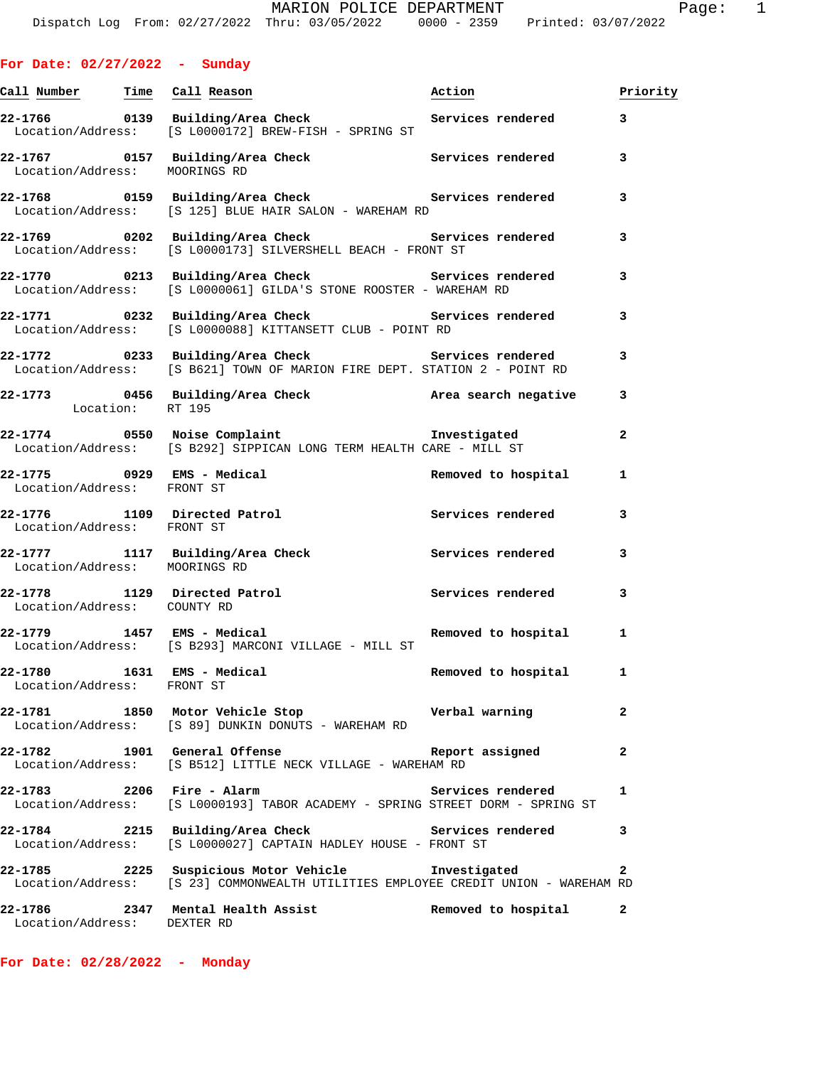| <u>Call Number — Time Call Reason</u>                    |                                                                                                                                 | Action              | Priority     |
|----------------------------------------------------------|---------------------------------------------------------------------------------------------------------------------------------|---------------------|--------------|
|                                                          | 22-1766 0139 Building/Area Check Services rendered<br>Location/Address: [S L0000172] BREW-FISH - SPRING ST                      |                     | 3            |
| Location/Address: MOORINGS RD                            | 22-1767 0157 Building/Area Check Services rendered                                                                              |                     | 3            |
|                                                          | 22-1768 		 0159 Building/Area Check 		 Services rendered<br>Location/Address: [S 125] BLUE HAIR SALON - WAREHAM RD              |                     | 3            |
|                                                          | 22-1769 		 0202 Building/Area Check 		 Services rendered<br>Location/Address: [S L0000173] SILVERSHELL BEACH - FRONT ST         |                     | 3            |
|                                                          | 22-1770 		 0213 Building/Area Check 		 Services rendered<br>Location/Address: [S L0000061] GILDA'S STONE ROOSTER - WAREHAM RD   |                     | 3            |
|                                                          | 22-1771 0232 Building/Area Check Services rendered<br>Location/Address: [S L0000088] KITTANSETT CLUB - POINT RD                 |                     | 3            |
|                                                          | 22-1772 0233 Building/Area Check Services rendered<br>Location/Address: [S B621] TOWN OF MARION FIRE DEPT. STATION 2 - POINT RD |                     | 3            |
| Location: RT 195                                         | 22-1773 0456 Building/Area Check <b>heating</b> Area search negative                                                            |                     | 3            |
|                                                          | 22-1774 0550 Noise Complaint Investigated<br>Location/Address: [S B292] SIPPICAN LONG TERM HEALTH CARE - MILL ST                |                     | 2            |
| 22-1775 0929 EMS - Medical<br>Location/Address: FRONT ST |                                                                                                                                 | Removed to hospital | 1            |
| Location/Address: FRONT ST                               | 22-1776 1109 Directed Patrol                                                                                                    | Services rendered   | 3            |
| Location/Address: MOORINGS RD                            | 22-1777 1117 Building/Area Check Services rendered                                                                              |                     | 3            |
| Location/Address: COUNTY RD                              | 22-1778 1129 Directed Patrol 1998 Services rendered                                                                             |                     | 3            |
| 22-1779 1457 EMS - Medical                               | Location/Address: [S B293] MARCONI VILLAGE - MILL ST                                                                            | Removed to hospital | 1            |
| 22-1780 1631 EMS - Medical<br>Location/Address:          | FRONT ST                                                                                                                        | Removed to hospital | 1            |
|                                                          | 22-1781 1850 Motor Vehicle Stop 1985 Verbal warning<br>Location/Address: [S 89] DUNKIN DONUTS - WAREHAM RD                      |                     | 2            |
|                                                          | Location/Address: [S B512] LITTLE NECK VILLAGE - WAREHAM RD                                                                     | Report assigned     | 2            |
| 22-1783                                                  | 2206 Fire - Alarm<br>Location/Address: [S L0000193] TABOR ACADEMY - SPRING STREET DORM - SPRING ST                              | Services rendered   | 1            |
| Location/Address:                                        | 22-1784 2215 Building/Area Check Services rendered<br>[S L0000027] CAPTAIN HADLEY HOUSE - FRONT ST                              |                     | 3            |
|                                                          | 22-1785 2225 Suspicious Motor Vehicle<br>Location/Address: [S 23] COMMONWEALTH UTILITIES EMPLOYEE CREDIT UNION - WAREHAM RD     | Investigated        | $\mathbf{2}$ |
| 22-1786<br>Location/Address:                             | 2347 Mental Health Assist<br>DEXTER RD                                                                                          | Removed to hospital | 2            |

**For Date: 02/27/2022 - Sunday**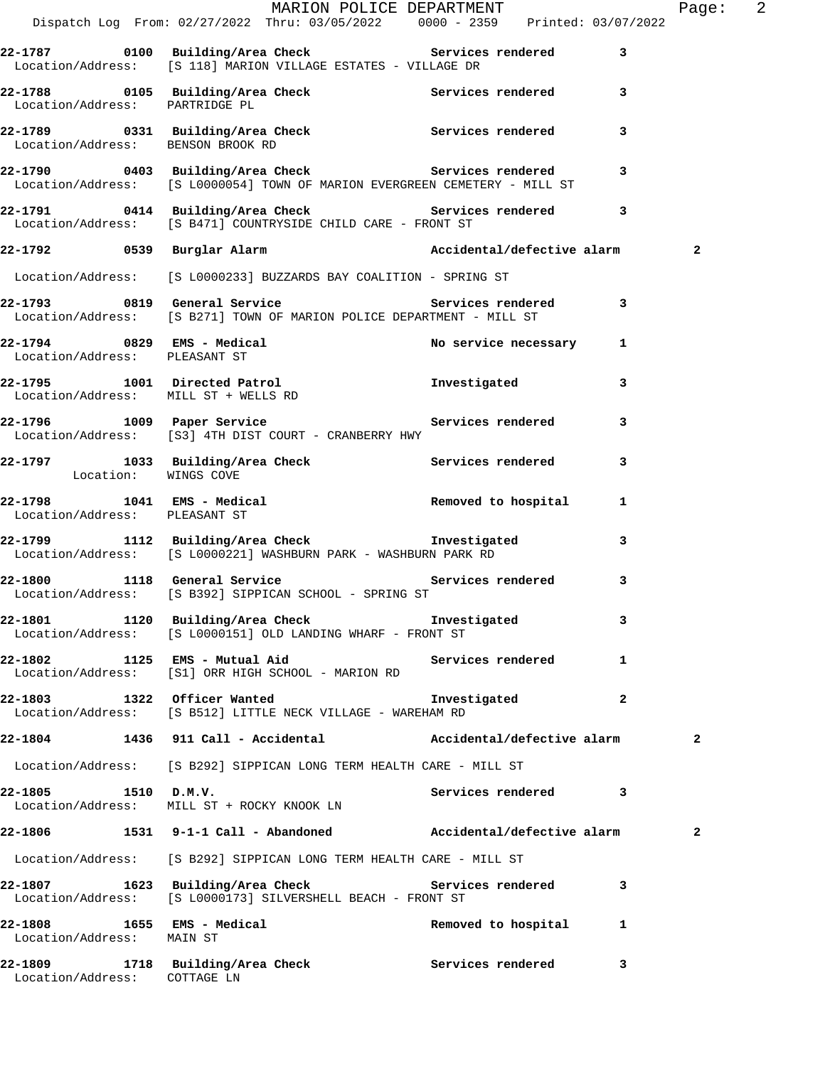|                                      | MARION POLICE DEPARTMENT<br>Dispatch Log From: 02/27/2022 Thru: 03/05/2022 0000 - 2359 Printed: 03/07/2022                                                                                                                                                                                            |                       |   | Page: $2$    |  |
|--------------------------------------|-------------------------------------------------------------------------------------------------------------------------------------------------------------------------------------------------------------------------------------------------------------------------------------------------------|-----------------------|---|--------------|--|
|                                      | 22-1787 0100 Building/Area Check 5ervices rendered 3<br>Location/Address: [S 118] MARION VILLAGE ESTATES - VILLAGE DR                                                                                                                                                                                 |                       |   |              |  |
| Location/Address: PARTRIDGE PL       | 22-1788 0105 Building/Area Check 5ervices rendered 3                                                                                                                                                                                                                                                  |                       |   |              |  |
|                                      | 22-1789 0331 Building/Area Check Services rendered 3<br>Location/Address: BENSON BROOK RD                                                                                                                                                                                                             |                       |   |              |  |
|                                      | 22-1790 0403 Building/Area Check Services rendered<br>Location/Address: [S L0000054] TOWN OF MARION EVERGREEN CEMETERY - MILL ST                                                                                                                                                                      |                       | 3 |              |  |
|                                      | 22-1791 0414 Building/Area Check Services rendered 3<br>Location/Address: [S B471] COUNTRYSIDE CHILD CARE - FRONT ST                                                                                                                                                                                  |                       |   |              |  |
|                                      |                                                                                                                                                                                                                                                                                                       |                       |   | 2            |  |
|                                      | Location/Address: [S L0000233] BUZZARDS BAY COALITION - SPRING ST                                                                                                                                                                                                                                     |                       |   |              |  |
|                                      | 22-1793 0819 General Service 3 Services rendered 3<br>Location/Address: [S B271] TOWN OF MARION POLICE DEPARTMENT - MILL ST                                                                                                                                                                           |                       |   |              |  |
| Location/Address: PLEASANT ST        | 22-1794 0829 EMS - Medical No service necessary 1                                                                                                                                                                                                                                                     |                       |   |              |  |
| Location/Address: MILL ST + WELLS RD | 22-1795 1001 Directed Patrol 1001 1nvestigated                                                                                                                                                                                                                                                        |                       | 3 |              |  |
|                                      | 22-1796 1009 Paper Service Service Services rendered<br>Location/Address: [S3] 4TH DIST COURT - CRANBERRY HWY                                                                                                                                                                                         |                       | 3 |              |  |
|                                      | 22-1797 1033 Building/Area Check Services rendered Location: WINGS COVE                                                                                                                                                                                                                               |                       | 3 |              |  |
| Location/Address: PLEASANT ST        | 22-1798 1041 EMS - Medical 1 22-1798 Removed to hospital 1                                                                                                                                                                                                                                            |                       |   |              |  |
|                                      | Investigated 1112 Building/Area Check Investigated<br>באמר המוסט המוסט המודר המודרי המודר המודר המודר המודר המודר המודר המודר המודר המודר המודר המודר המודר המודר ה<br>המודר המודר המודר המודר המודר המודר המודר המודר המודר המודר<br>Location/Address: [S L0000221] WASHBURN PARK - WASHBURN PARK RD |                       | 3 |              |  |
|                                      | 22-1800 1118 General Service 3 Services rendered<br>Location/Address: [S B392] SIPPICAN SCHOOL - SPRING ST                                                                                                                                                                                            |                       | 3 |              |  |
|                                      | 22-1801 1120 Building/Area Check 5 Investigated<br>Location/Address: [S L0000151] OLD LANDING WHARF - FRONT ST                                                                                                                                                                                        |                       | 3 |              |  |
|                                      | 22-1802 1125 EMS - Mutual Aid Contract Services rendered<br>Location/Address: [S1] ORR HIGH SCHOOL - MARION RD                                                                                                                                                                                        |                       | 1 |              |  |
|                                      | 22-1803 1322 Officer Wanted<br>Location/Address: [S B512] LITTLE NECK VILLAGE - WAREHAM RD                                                                                                                                                                                                            | Investigated 2        |   |              |  |
|                                      | 22-1804 1436 911 Call - Accidental               Accidental/defective alarm                                                                                                                                                                                                                           |                       |   | $\mathbf{2}$ |  |
|                                      | Location/Address: [S B292] SIPPICAN LONG TERM HEALTH CARE - MILL ST                                                                                                                                                                                                                                   |                       |   |              |  |
| 22-1805 1510 D.M.V.                  | Location/Address: MILL ST + ROCKY KNOOK LN                                                                                                                                                                                                                                                            | Services rendered     | 3 |              |  |
|                                      | 22-1806 1531 9-1-1 Call - Abandoned Mccidental/defective alarm                                                                                                                                                                                                                                        |                       |   | $\mathbf{2}$ |  |
|                                      | Location/Address: [S B292] SIPPICAN LONG TERM HEALTH CARE - MILL ST                                                                                                                                                                                                                                   |                       |   |              |  |
|                                      | 22-1807 1623 Building/Area Check Services rendered<br>Location/Address: [S L0000173] SILVERSHELL BEACH - FRONT ST                                                                                                                                                                                     |                       | 3 |              |  |
| Location/Address: MAIN ST            | 22-1808 1655 EMS - Medical                                                                                                                                                                                                                                                                            | Removed to hospital 1 |   |              |  |
| Location/Address: COTTAGE LN         | 22-1809 1718 Building/Area Check 1997 Services rendered                                                                                                                                                                                                                                               |                       | 3 |              |  |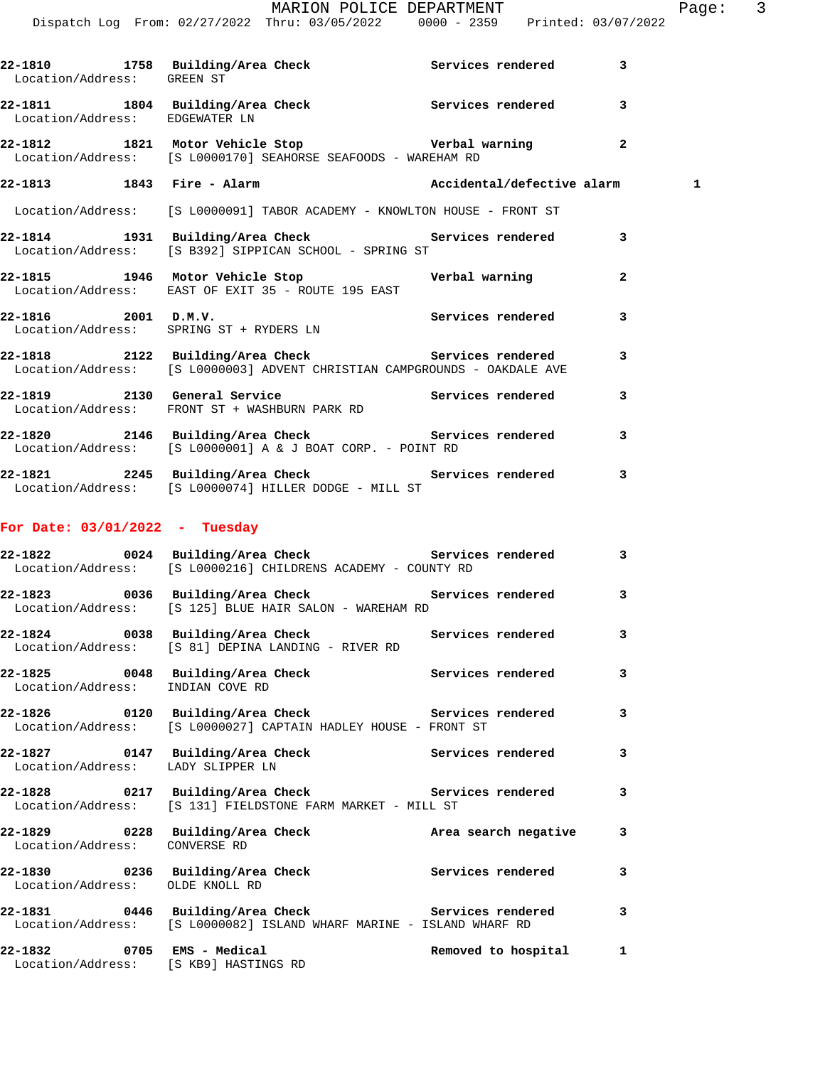|                                                                                                                            | MARION POLICE DEPARTMENT<br>Dispatch Log From: 02/27/2022 Thru: 03/05/2022 0000 - 2359 Printed: 03/07/2022 |                      |   | Page: 3 |  |
|----------------------------------------------------------------------------------------------------------------------------|------------------------------------------------------------------------------------------------------------|----------------------|---|---------|--|
| 22-1810 1758 Building/Area Check Services rendered 3<br>Location/Address: GREEN ST                                         |                                                                                                            |                      |   |         |  |
| 22-1811 1804 Building/Area Check 1997 Services rendered<br>Location/Address: EDGEWATER LN                                  |                                                                                                            |                      | 3 |         |  |
| 22-1812 1821 Motor Vehicle Stop Nerbal warning 2<br>Location/Address: [S L0000170] SEAHORSE SEAFOODS - WAREHAM RD          |                                                                                                            |                      |   |         |  |
| 22-1813 1843 Fire - Alarm Necidental/defective alarm                                                                       |                                                                                                            |                      |   | 1       |  |
| Location/Address: [S L0000091] TABOR ACADEMY - KNOWLTON HOUSE - FRONT ST                                                   |                                                                                                            |                      |   |         |  |
| 22-1814 1931 Building/Area Check Services rendered 3<br>Location/Address: [S B392] SIPPICAN SCHOOL - SPRING ST             |                                                                                                            |                      |   |         |  |
| 22-1815   1946   Motor Vehicle Stop   Verbal warning<br>Location/Address: EAST OF EXIT 35 - ROUTE 195 EAST                 |                                                                                                            |                      | 2 |         |  |
| $22 - 1816$ 2001 D.M.V.<br>Location/Address: SPRING ST + RYDERS LN                                                         | Services rendered 3                                                                                        |                      |   |         |  |
|                                                                                                                            |                                                                                                            |                      | 3 |         |  |
| 22-1819 2130 General Service 20 Services rendered<br>Location/Address: FRONT ST + WASHBURN PARK RD                         |                                                                                                            |                      | 3 |         |  |
| 22-1820 2146 Building/Area Check 5 Services rendered 3<br>Location/Address: [S L0000001] A & J BOAT CORP. - POINT RD       |                                                                                                            |                      |   |         |  |
| 22-1821 2245 Building/Area Check Services rendered<br>Location/Address: [S L0000074] HILLER DODGE - MILL ST                |                                                                                                            |                      | 3 |         |  |
| For Date: $03/01/2022 - Tuesday$                                                                                           |                                                                                                            |                      |   |         |  |
| 22-1822 0024 Building/Area Check Services rendered<br>Location/Address: [S L0000216] CHILDRENS ACADEMY - COUNTY RD         |                                                                                                            |                      | 3 |         |  |
| 22-1823 0036 Building/Area Check 5ervices rendered 3                                                                       | Location/Address: [S 125] BLUE HAIR SALON - WAREHAM RD                                                     |                      |   |         |  |
| 22-1824 0038 Building/Area Check Services rendered<br>Location/Address: [S 81] DEPINA LANDING - RIVER RD                   |                                                                                                            |                      | 3 |         |  |
| 22-1825 0048 Building/Area Check 5ervices rendered<br>Location/Address: INDIAN COVE RD                                     |                                                                                                            |                      | 3 |         |  |
| Location/Address: [S L0000027] CAPTAIN HADLEY HOUSE - FRONT ST                                                             |                                                                                                            |                      | 3 |         |  |
| 22-1827 0147 Building/Area Check<br>Location/Address: LADY SLIPPER LN                                                      |                                                                                                            | Services rendered    | 3 |         |  |
| 22-1828 0217 Building/Area Check Services rendered<br>Location/Address: [S 131] FIELDSTONE FARM MARKET - MILL ST           |                                                                                                            |                      | 3 |         |  |
| 22-1829 0228 Building/Area Check<br>Location/Address: CONVERSE RD                                                          |                                                                                                            | Area search negative | 3 |         |  |
| Location/Address: OLDE KNOLL RD                                                                                            |                                                                                                            |                      | 3 |         |  |
| 22-1831 0446 Building/Area Check 5ervices rendered<br>Location/Address: [S L0000082] ISLAND WHARF MARINE - ISLAND WHARF RD |                                                                                                            |                      | 3 |         |  |
| 22-1832 0705 EMS - Medical<br>Location/Address: [S KB9] HASTINGS RD                                                        |                                                                                                            | Removed to hospital  | 1 |         |  |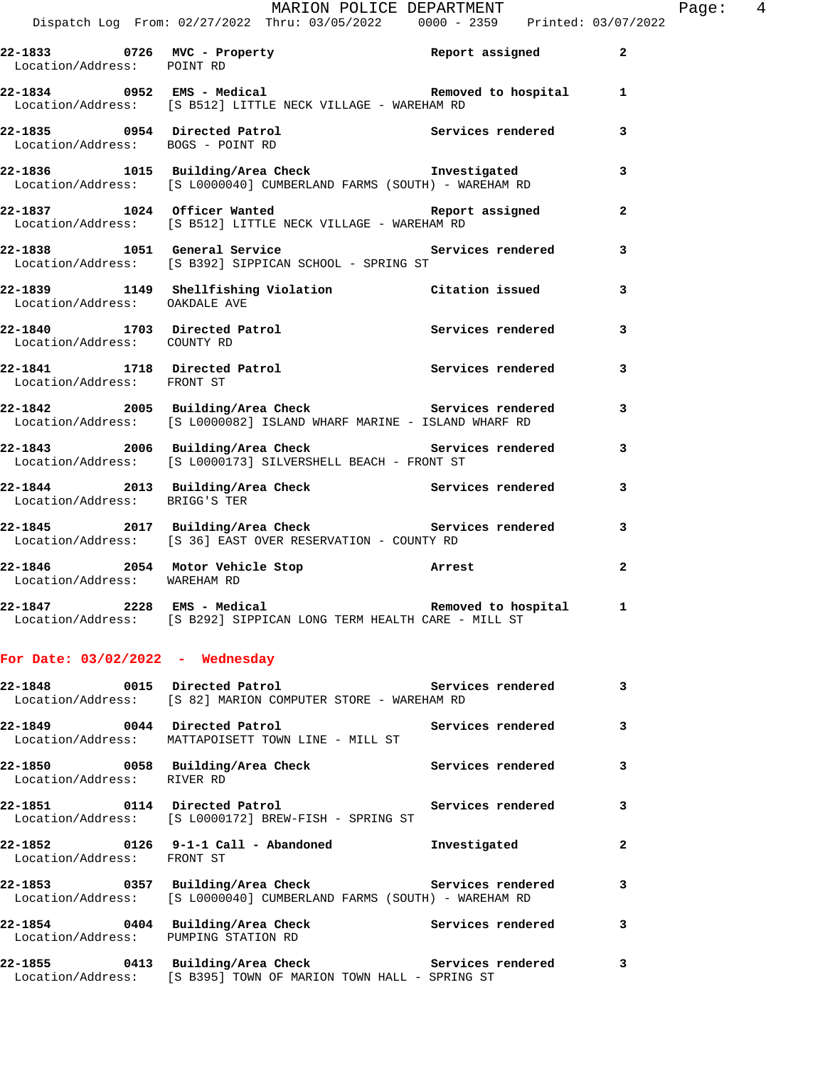**22-1833 0726 MVC - Property Report assigned 2** 

**22-1834 0952 EMS - Medical Removed to hospital 1** 

Location/Address: [S B512] LITTLE NECK VILLAGE - WAREHAM RD

Location/Address: POINT RD

| Location/Address: BOGS - POINT RD    | 22-1835 0954 Directed Patrol Services rendered 3                                                                                           |                     |                          |
|--------------------------------------|--------------------------------------------------------------------------------------------------------------------------------------------|---------------------|--------------------------|
|                                      | 22-1836 1015 Building/Area Check Investigated<br>Location/Address: [S L0000040] CUMBERLAND FARMS (SOUTH) - WAREHAM RD                      |                     | $\overline{\phantom{a}}$ |
|                                      | 22-1837 1024 Officer Wanted and Report assigned<br>Location/Address: [S B512] LITTLE NECK VILLAGE - WAREHAM RD                             |                     | $\mathbf{2}$             |
|                                      | 22-1838 1051 General Service <b>120 Services</b> rendered 3<br>Location/Address: [S B392] SIPPICAN SCHOOL - SPRING ST                      |                     |                          |
| Location/Address: OAKDALE AVE        | 22-1839 1149 Shellfishing Violation 1991 Citation issued                                                                                   |                     | 3                        |
| Location/Address: COUNTY RD          | 22-1840 1703 Directed Patrol 1988 1997 Services rendered 13                                                                                |                     |                          |
| Location/Address: FRONT ST           | 22-1841 1718 Directed Patrol Services rendered 3                                                                                           |                     |                          |
|                                      | 22-1842 2005 Building/Area Check 2007 Services rendered 3<br>Location/Address: [S L0000082] ISLAND WHARF MARINE - ISLAND WHARF RD          |                     |                          |
|                                      | 22-1843 2006 Building/Area Check 20 Services rendered 3<br>Location/Address: [S L0000173] SILVERSHELL BEACH - FRONT ST                     |                     |                          |
| Location/Address: BRIGG'S TER        | 22-1844 2013 Building/Area Check 2017 Services rendered                                                                                    |                     | 3                        |
|                                      | 22-1845 2017 Building/Area Check 2017 Services rendered<br>Location/Address: [S 36] EAST OVER RESERVATION - COUNTY RD                      |                     |                          |
| Location/Address: WAREHAM RD         | 22-1846 2054 Motor Vehicle Stop Norrest                                                                                                    |                     | $\mathbf{2}$             |
|                                      | Location/Address: [S B292] SIPPICAN LONG TERM HEALTH CARE - MILL ST                                                                        |                     |                          |
| For Date: $03/02/2022 -$ Wednesday   |                                                                                                                                            |                     |                          |
|                                      | 22-1848       0015  Directed Patrol             Services rendered      3<br>Location/Address: [S 82] MARION COMPUTER STORE - WAREHAM RD    |                     |                          |
| 22-1849 0044 Directed Patrol         | Location/Address: MATTAPOISETT TOWN LINE - MILL ST                                                                                         | Services rendered   | 3                        |
| Location/Address: RIVER RD           | 22-1850 0058 Building/Area Check                                                                                                           | Services rendered   | 3                        |
|                                      | Location/Address: [S L0000172] BREW-FISH - SPRING ST                                                                                       |                     | 3                        |
| Location/Address: FRONT ST           |                                                                                                                                            | Investigated        | 2                        |
|                                      | 22-1853       0357  Building/Area Check          Services rendered<br>Location/Address: [S L0000040] CUMBERLAND FARMS (SOUTH) - WAREHAM RD |                     | 3                        |
| Location/Address: PUMPING STATION RD | 22-1854 0404 Building/Area Check                                                                                                           | Services rendered 3 |                          |
|                                      | 22-1855 0413 Building/Area Check Services rendered<br>Location/Address: [S B395] TOWN OF MARION TOWN HALL - SPRING ST                      |                     | $\overline{\phantom{a}}$ |
|                                      |                                                                                                                                            |                     |                          |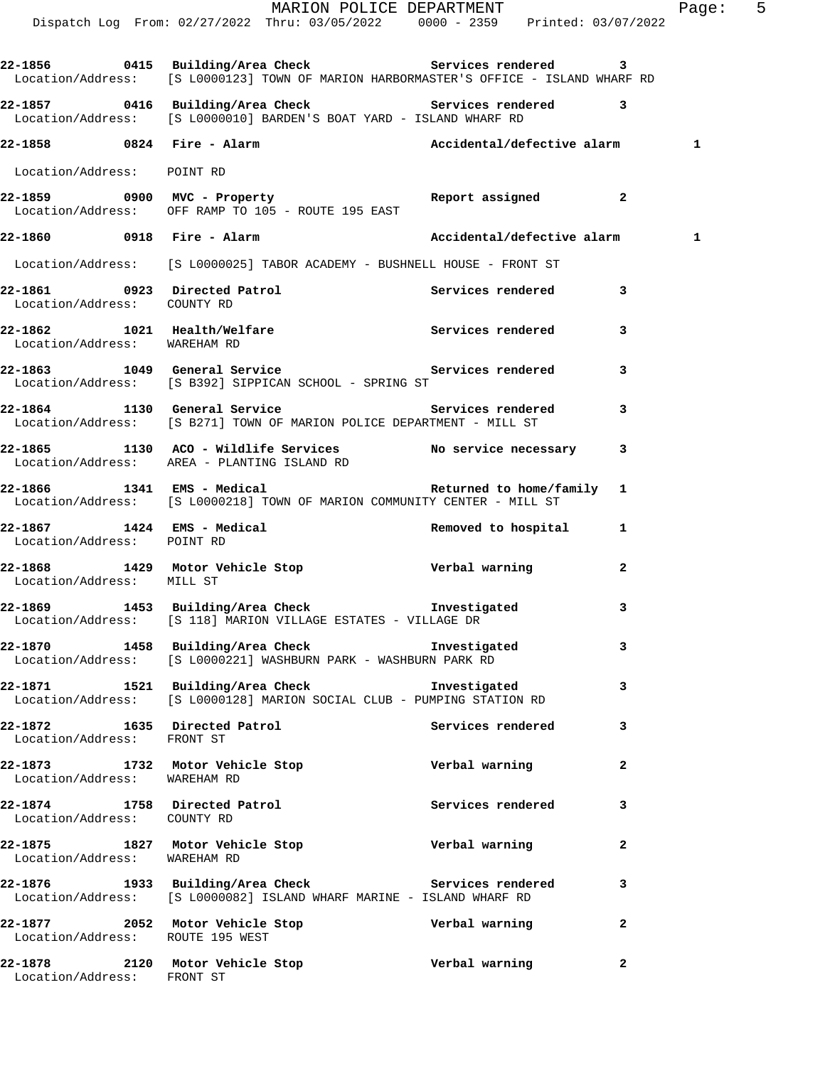|                                                             | MARION POLICE DEPARTMENT<br>Dispatch Log From: 02/27/2022 Thru: 03/05/2022 0000 - 2359 Printed: 03/07/2022                                    |                   |              | Page: 5 |
|-------------------------------------------------------------|-----------------------------------------------------------------------------------------------------------------------------------------------|-------------------|--------------|---------|
|                                                             | 22-1856 0415 Building/Area Check Services rendered 3<br>Location/Address: [S L0000123] TOWN OF MARION HARBORMASTER'S OFFICE - ISLAND WHARF RD |                   |              |         |
|                                                             | 22-1857 0416 Building/Area Check 5ervices rendered 3<br>Location/Address: [S L0000010] BARDEN'S BOAT YARD - ISLAND WHARF RD                   |                   |              |         |
|                                                             | 22-1858 0824 Fire - Alarm National/defective alarm 1                                                                                          |                   |              |         |
| Location/Address: POINT RD                                  |                                                                                                                                               |                   |              |         |
|                                                             | 22-1859 		 0900 MVC - Property 		 Report assigned 2<br>Location/Address: OFF RAMP TO 105 - ROUTE 195 EAST                                     |                   |              |         |
|                                                             | 22-1860 0918 Fire - Alarm Necidental/defective alarm 1                                                                                        |                   |              |         |
|                                                             | Location/Address: [S L0000025] TABOR ACADEMY - BUSHNELL HOUSE - FRONT ST                                                                      |                   |              |         |
| Location/Address: COUNTY RD                                 | 22-1861 0923 Directed Patrol 22-1861 Services rendered 3                                                                                      |                   |              |         |
| Location/Address: WAREHAM RD                                | 22-1862 1021 Health/Welfare Services rendered                                                                                                 |                   | 3            |         |
|                                                             | 22-1863 1049 General Service 22-1863 Services rendered 3<br>Location/Address: [S B392] SIPPICAN SCHOOL - SPRING ST                            |                   |              |         |
|                                                             | 22-1864 1130 General Service 22-1864 Services rendered<br>Location/Address: [S B271] TOWN OF MARION POLICE DEPARTMENT - MILL ST               |                   | 3            |         |
|                                                             | 22-1865 1130 ACO - Wildlife Services No service necessary 3<br>Location/Address: AREA - PLANTING ISLAND RD                                    |                   |              |         |
|                                                             | 22-1866 1341 EMS - Medical 1997 1 Returned to home/family<br>Location/Address: [S L0000218] TOWN OF MARION COMMUNITY CENTER - MILL ST         |                   |              |         |
| Location/Address: POINT RD                                  | 22-1867 1424 EMS - Medical 1 1 Removed to hospital 1                                                                                          |                   |              |         |
| Location/Address: MILL ST                                   | 22-1868 1429 Motor Vehicle Stop Nerbal warning                                                                                                |                   | 2            |         |
|                                                             | 22-1869 1453 Building/Area Check 1nvestigated<br>Location/Address: [S 118] MARION VILLAGE ESTATES - VILLAGE DR                                |                   | 3            |         |
|                                                             | 22-1870 1458 Building/Area Check Investigated<br>Location/Address: [S L0000221] WASHBURN PARK - WASHBURN PARK RD                              |                   | 3            |         |
|                                                             | 22-1871 1521 Building/Area Check Threstigated<br>Location/Address: [S L0000128] MARION SOCIAL CLUB - PUMPING STATION RD                       |                   | 3            |         |
| 22-1872 1635 Directed Patrol<br>Location/Address: FRONT ST  |                                                                                                                                               | Services rendered | 3            |         |
| Location/Address: WAREHAM RD                                | 22-1873 1732 Motor Vehicle Stop                                                                                                               | Verbal warning    | $\mathbf{2}$ |         |
| 22-1874 1758 Directed Patrol<br>Location/Address: COUNTY RD |                                                                                                                                               | Services rendered | 3            |         |
| Location/Address: WAREHAM RD                                | 22-1875 1827 Motor Vehicle Stop Nerbal warning                                                                                                |                   | $\mathbf{2}$ |         |
|                                                             | 22-1876 1933 Building/Area Check Services rendered<br>Location/Address: [S L0000082] ISLAND WHARF MARINE - ISLAND WHARF RD                    |                   | 3            |         |
| Location/Address: ROUTE 195 WEST                            | 22-1877 2052 Motor Vehicle Stop Nerbal warning                                                                                                |                   | 2            |         |
| Location/Address: FRONT ST                                  |                                                                                                                                               |                   | 2            |         |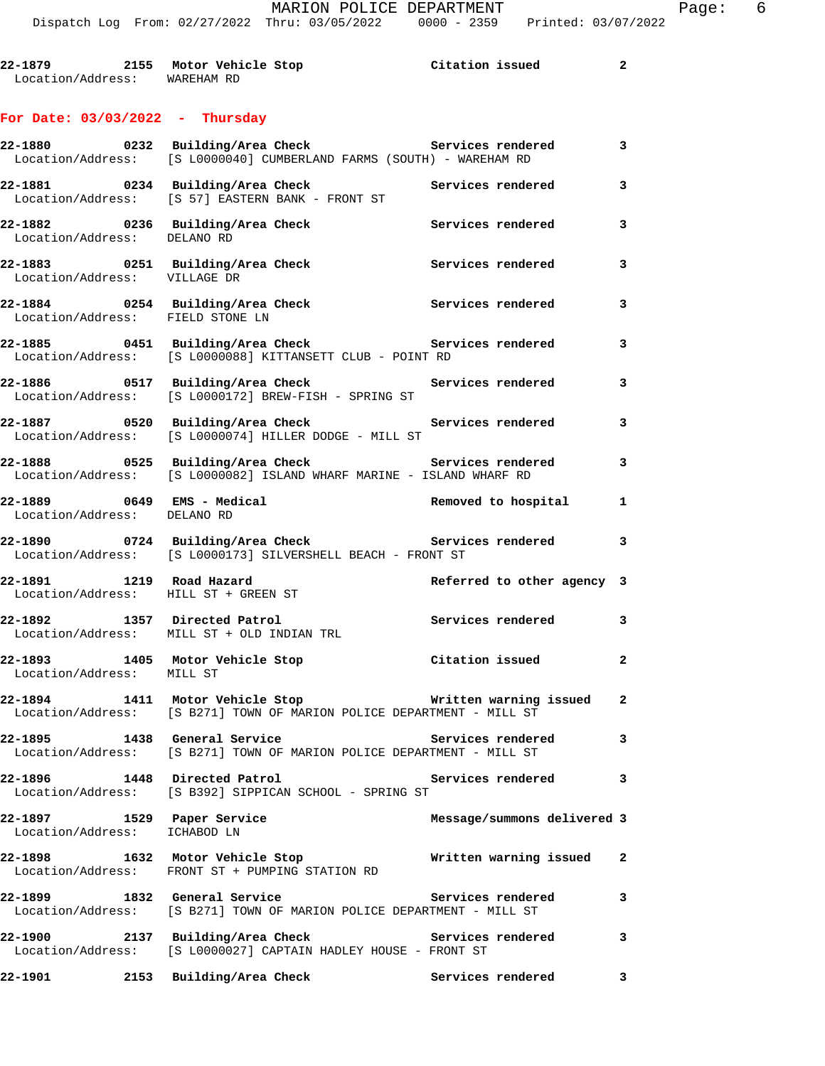## **For Date: 03/03/2022 - Thursday**

|                                                              | 22-1880 0232 Building/Area Check Services rendered<br>Location/Address: [S L0000040] CUMBERLAND FARMS (SOUTH) - WAREHAM RD        |                             | 3            |
|--------------------------------------------------------------|-----------------------------------------------------------------------------------------------------------------------------------|-----------------------------|--------------|
|                                                              | 22-1881 0234 Building/Area Check<br>Location/Address: [S 57] EASTERN BANK - FRONT ST                                              | Services rendered           | 3            |
| Location/Address: DELANO RD                                  | 22-1882 		 0236 Building/Area Check 		 Services rendered                                                                          |                             | 3            |
| Location/Address: VILLAGE DR                                 | 22-1883 0251 Building/Area Check                                                                                                  | Services rendered           | 3            |
| Location/Address: FIELD STONE LN                             | 22-1884 		 0254 Building/Area Check 		 Services rendered                                                                          |                             | 3            |
|                                                              | 22-1885 0451 Building/Area Check Services rendered<br>Location/Address: [S L0000088] KITTANSETT CLUB - POINT RD                   |                             | 3            |
|                                                              | 22-1886 		 0517 Building/Area Check 		 Services rendered<br>Location/Address: [S L0000172] BREW-FISH - SPRING ST                  |                             | 3            |
|                                                              | Location/Address: [S L0000074] HILLER DODGE - MILL ST                                                                             |                             | 3            |
|                                                              | Location/Address: [S L0000082] ISLAND WHARF MARINE - ISLAND WHARF RD                                                              |                             | 3            |
| 22-1889 0649 EMS - Medical<br>Location/Address: DELANO RD    |                                                                                                                                   | Removed to hospital         | 1            |
|                                                              | 22-1890 0724 Building/Area Check 6 Services rendered 3<br>Location/Address: [S L0000173] SILVERSHELL BEACH - FRONT ST             |                             |              |
| 22-1891 1219 Road Hazard                                     | Location/Address: HILL ST + GREEN ST                                                                                              | Referred to other agency 3  |              |
|                                                              | 22-1892 1357 Directed Patrol<br>Location/Address: MILL ST + OLD INDIAN TRL                                                        | Services rendered           | 3            |
| 22-1893 1405 Motor Vehicle Stop<br>Location/Address: MILL ST |                                                                                                                                   | Citation issued             | $\mathbf{2}$ |
|                                                              | 22-1894 1411 Motor Vehicle Stop Nritten warning issued 2<br>Location/Address: [S B271] TOWN OF MARION POLICE DEPARTMENT - MILL ST |                             |              |
|                                                              | Location/Address: [S B271] TOWN OF MARION POLICE DEPARTMENT - MILL ST                                                             |                             | $\mathbf{3}$ |
|                                                              | 22-1896 1448 Directed Patrol<br>Location/Address: [S B392] SIPPICAN SCHOOL - SPRING ST                                            | Services rendered 3         |              |
| 22-1897 1529 Paper Service<br>Location/Address: ICHABOD LN   |                                                                                                                                   | Message/summons delivered 3 |              |
|                                                              | 22-1898 1632 Motor Vehicle Stop<br>Location/Address: FRONT ST + PUMPING STATION RD                                                | Written warning issued      | 2            |
| 22-1899 1832 General Service                                 | Location/Address: [S B271] TOWN OF MARION POLICE DEPARTMENT - MILL ST                                                             | Services rendered           | 3            |
|                                                              | 22-1900 2137 Building/Area Check Services rendered<br>Location/Address: [S L0000027] CAPTAIN HADLEY HOUSE - FRONT ST              |                             | 3            |
| 22-1901 2153 Building/Area Check                             |                                                                                                                                   | Services rendered           | 3            |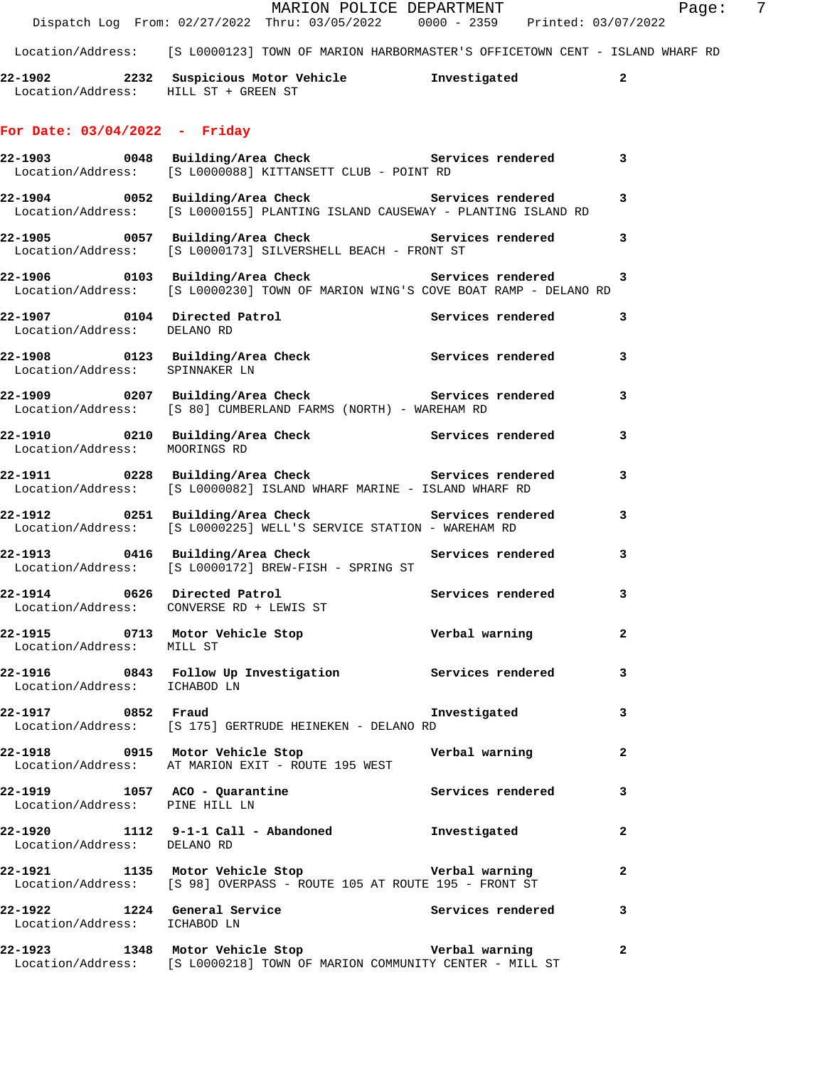|                                      | Dispatch Log From: 02/27/2022 Thru: 03/05/2022 0000 - 2359 Printed: 03/07/2022                                                                           | MARION POLICE DEPARTMENT | $\overline{7}$<br>Page: |
|--------------------------------------|----------------------------------------------------------------------------------------------------------------------------------------------------------|--------------------------|-------------------------|
|                                      | Location/Address: [S L0000123] TOWN OF MARION HARBORMASTER'S OFFICETOWN CENT - ISLAND WHARF RD                                                           |                          |                         |
| Location/Address: HILL ST + GREEN ST | 22-1902 2232 Suspicious Motor Vehicle Chronic Investigated 2                                                                                             |                          |                         |
| For Date: $03/04/2022 -$ Friday      |                                                                                                                                                          |                          |                         |
|                                      | 22-1903 0048 Building/Area Check 5ervices rendered 3<br>Location/Address: [S L0000088] KITTANSETT CLUB - POINT RD                                        |                          |                         |
|                                      | 22-1904 0052 Building/Area Check 5ervices rendered 3<br>Location/Address: [S L0000155] PLANTING ISLAND CAUSEWAY - PLANTING ISLAND RD                     |                          |                         |
|                                      | 22-1905 0057 Building/Area Check <b>Services</b> rendered 3<br>Location/Address: [S L0000173] SILVERSHELL BEACH - FRONT ST                               |                          |                         |
|                                      | 22-1906      0103 Building/Area Check         Services rendered     3<br>Location/Address: [S L0000230] TOWN OF MARION WING'S COVE BOAT RAMP - DELANO RD |                          |                         |
| Location/Address: DELANO RD          | 22-1907 0104 Directed Patrol                                                                                                                             | Services rendered 3      |                         |
|                                      | 22-1908 0123 Building/Area Check Services rendered 3<br>Location/Address: SPINNAKER LN                                                                   |                          |                         |
|                                      | 22-1909 0207 Building/Area Check <b>Services</b> rendered 3<br>Location/Address: [S 80] CUMBERLAND FARMS (NORTH) - WAREHAM RD                            |                          |                         |
| Location/Address: MOORINGS RD        | 22-1910 0210 Building/Area Check <b>Services</b> rendered 3                                                                                              |                          |                         |
|                                      | 22-1911 0228 Building/Area Check Services rendered<br>Location/Address: [S L0000082] ISLAND WHARF MARINE - ISLAND WHARF RD                               |                          | $\mathbf{3}$            |
|                                      | 22-1912 		 0251 Building/Area Check 		 Services rendered 3<br>Location/Address: [S L0000225] WELL'S SERVICE STATION - WAREHAM RD                         |                          |                         |
|                                      | 22-1913 0416 Building/Area Check 6 Services rendered 3<br>Location/Address: [S L0000172] BREW-FISH - SPRING ST                                           |                          |                         |
|                                      | 22-1914 0626 Directed Patrol 22-1914 Services rendered 3<br>Location/Address: CONVERSE RD + LEWIS ST                                                     |                          |                         |
| Location/Address: MILL ST            | 22-1915 0713 Motor Vehicle Stop <b>1988 Community</b> Verbal warning 2                                                                                   |                          |                         |
| Location/Address: ICHABOD LN         | 22-1916 1843 Follow Up Investigation 1915 Services rendered 13                                                                                           |                          |                         |
| 22-1917 0852 Fraud                   | Location/Address: [S 175] GERTRUDE HEINEKEN - DELANO RD                                                                                                  | Investigated             | $\mathbf{3}$            |
|                                      | 22-1918      0915   Motor Vehicle Stop             Verbal warning<br>Location/Address:   AT MARION EXIT - ROUTE 195 WEST                                 |                          | $\mathbf{2}$            |
| Location/Address: PINE HILL LN       | 22-1919 1057 ACO - Quarantine 1988 Services rendered 3                                                                                                   |                          |                         |
|                                      | 22-1920   1112   9-1-1   Call - Abandoned   Investigated   Investigated   Instigated   Investigated   Instigate                                          |                          | $\mathbf{2}$            |
|                                      | 22-1921 1135 Motor Vehicle Stop Nerbal warning<br>Location/Address: [S 98] OVERPASS - ROUTE 105 AT ROUTE 195 - FRONT ST                                  |                          | 2                       |
| Location/Address: ICHABOD LN         | 22-1922 1224 General Service 3 Services rendered 3                                                                                                       |                          |                         |
|                                      | 22-1923 1348 Motor Vehicle Stop Nerbal warning<br>Location/Address: [S L0000218] TOWN OF MARION COMMUNITY CENTER - MILL ST                               |                          | $\mathbf{2}$            |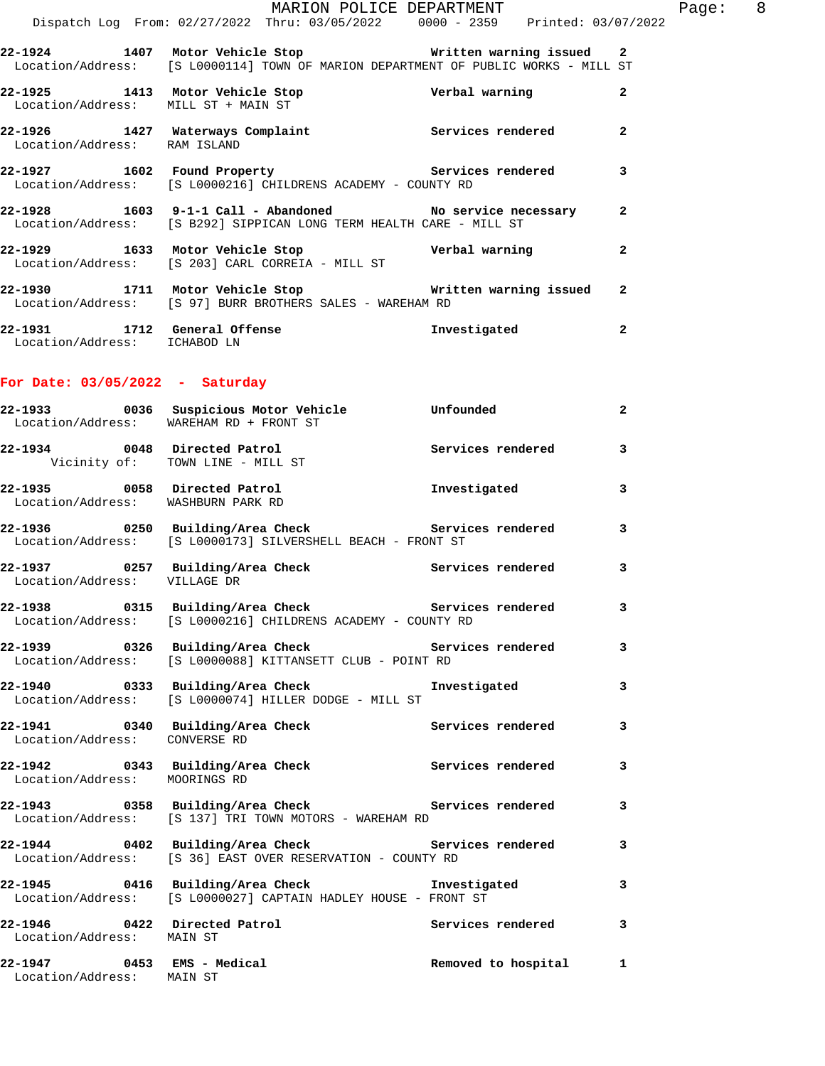| 22-1929 2014                 | 1633 Motor Vehicle Stop<br>المستحدث والمستحدث والمتحدث والمممون والمنافي والمتحاول والمستحدث والمستحدث                                                 | Verbal warning    | $\mathbf{2}$   |
|------------------------------|--------------------------------------------------------------------------------------------------------------------------------------------------------|-------------------|----------------|
|                              | 22-1928 1603 9-1-1 Call - Abandoned No service necessary<br>Location/Address: [S B292] SIPPICAN LONG TERM HEALTH CARE - MILL ST                        |                   | $\overline{a}$ |
|                              | 22-1927 1602 Found Property 1988 Services rendered<br>Location/Address: [S L0000216] CHILDRENS ACADEMY - COUNTY RD                                     |                   | 3              |
| Location/Address: RAM ISLAND | 22-1926 1427 Waterways Complaint                                                                                                                       | Services rendered | $\mathbf{2}$   |
|                              | 22-1925 1413 Motor Vehicle Stop<br>Location/Address: MILL ST + MAIN ST                                                                                 | Verbal warning    | $\mathbf{2}$   |
|                              | 22-1924 1407 Motor Vehicle Stop Notwork Written warning issued 2<br>Location/Address: [S L0000114] TOWN OF MARION DEPARTMENT OF PUBLIC WORKS - MILL ST |                   |                |
|                              | MARION POLICE DEPARTMENT<br>Dispatch Log From: 02/27/2022 Thru: 03/05/2022 0000 - 2359 Printed: 03/07/2022                                             |                   |                |
|                              |                                                                                                                                                        |                   |                |

- Location/Address: [S 203] CARL CORREIA MILL ST **22-1930 1711 Motor Vehicle Stop Written warning issued 2**  Location/Address: [S 97] BURR BROTHERS SALES - WAREHAM RD
- **22-1931 1712 General Offense Investigated 2**  Location/Address: ICHABOD LN

## **For Date: 03/05/2022 - Saturday**

|                                                                    | 22-1933 0036 Suspicious Motor Vehicle Unfounded<br>Location/Address: WAREHAM RD + FRONT ST                                      |                       | $\mathbf{2}$            |
|--------------------------------------------------------------------|---------------------------------------------------------------------------------------------------------------------------------|-----------------------|-------------------------|
| 22-1934 0048 Directed Patrol                                       | Vicinity of: TOWN LINE - MILL ST                                                                                                | Services rendered 3   |                         |
| 22-1935 0058 Directed Patrol<br>Location/Address: WASHBURN PARK RD |                                                                                                                                 | Investigated          | $\overline{3}$          |
|                                                                    | 22-1936 0250 Building/Area Check Services rendered<br>Location/Address: [S L0000173] SILVERSHELL BEACH - FRONT ST               |                       | 3                       |
| Location/Address: VILLAGE DR                                       | 22-1937 0257 Building/Area Check Services rendered                                                                              |                       | $\overline{\mathbf{3}}$ |
|                                                                    | 22-1938 		 0315 Building/Area Check 		 Services rendered<br>Location/Address: [S L0000216] CHILDRENS ACADEMY - COUNTY RD        |                       | 3                       |
|                                                                    | 22-1939       0326  Building/Area Check          Services rendered<br>Location/Address: [S L0000088] KITTANSETT CLUB - POINT RD |                       | $\overline{3}$          |
|                                                                    | Location/Address: [S L0000074] HILLER DODGE - MILL ST                                                                           |                       | 3                       |
| Location/Address: CONVERSE RD                                      | 22-1941 0340 Building/Area Check Services rendered                                                                              |                       | $\overline{3}$          |
| Location/Address: MOORINGS RD                                      | 22-1942 		 0343 Building/Area Check 		 Services rendered                                                                        |                       | 3                       |
|                                                                    | 22-1943 0358 Building/Area Check Services rendered<br>Location/Address: [S 137] TRI TOWN MOTORS - WAREHAM RD                    |                       | 3                       |
|                                                                    | 22-1944 0402 Building/Area Check Services rendered<br>Location/Address: [S 36] EAST OVER RESERVATION - COUNTY RD                |                       | $\overline{\mathbf{3}}$ |
|                                                                    | 22-1945 0416 Building/Area Check Threstigated<br>Location/Address: [S L0000027] CAPTAIN HADLEY HOUSE - FRONT ST                 |                       | 3                       |
| Location/Address: MAIN ST                                          | 22-1946 0422 Directed Patrol 3 Services rendered 3                                                                              |                       |                         |
| 22-1947 0453 EMS - Medical<br>Location/Address: MAIN ST            |                                                                                                                                 | Removed to hospital 1 |                         |